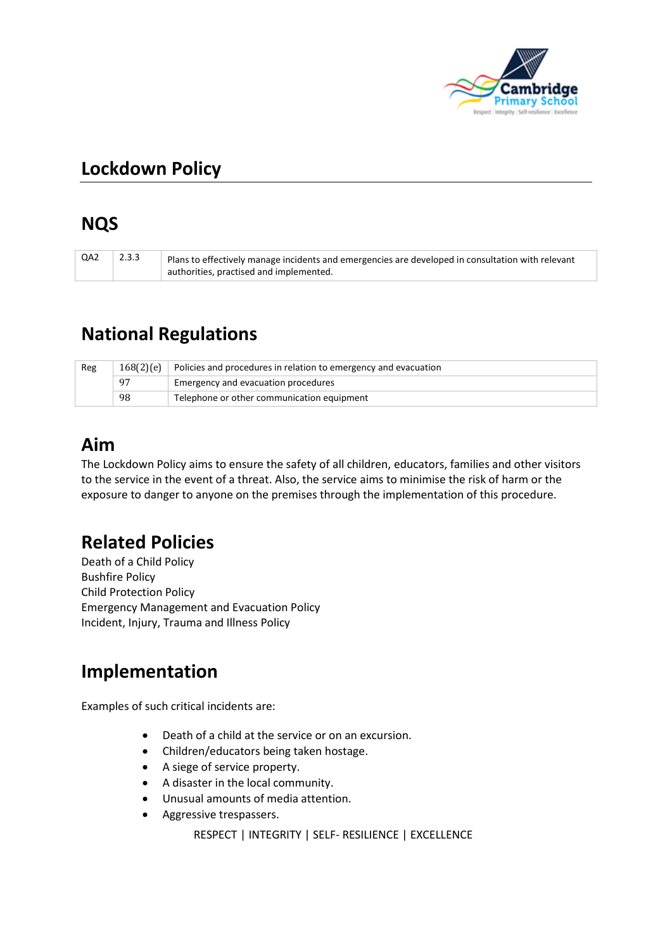

# **Lockdown Policy**

# **NQS**

| QA2 | 2.3.3 | Plans to effectively manage incidents and emergencies are developed in consultation with relevant |
|-----|-------|---------------------------------------------------------------------------------------------------|
|     |       | authorities, practised and implemented.                                                           |

## **National Regulations**

| Reg | 168(2)(e) | Policies and procedures in relation to emergency and evacuation |  |
|-----|-----------|-----------------------------------------------------------------|--|
|     | 97        | Emergency and evacuation procedures                             |  |
|     | 98        | Telephone or other communication equipment                      |  |

# **Aim**

The Lockdown Policy aims to ensure the safety of all children, educators, families and other visitors to the service in the event of a threat. Also, the service aims to minimise the risk of harm or the exposure to danger to anyone on the premises through the implementation of this procedure.

# **Related Policies**

Death of a Child Policy Bushfire Policy Child Protection Policy Emergency Management and Evacuation Policy Incident, Injury, Trauma and Illness Policy

# **Implementation**

Examples of such critical incidents are:

- Death of a child at the service or on an excursion.
- Children/educators being taken hostage.
- A siege of service property.
- A disaster in the local community.
- Unusual amounts of media attention.
- Aggressive trespassers.

RESPECT | INTEGRITY | SELF- RESILIENCE | EXCELLENCE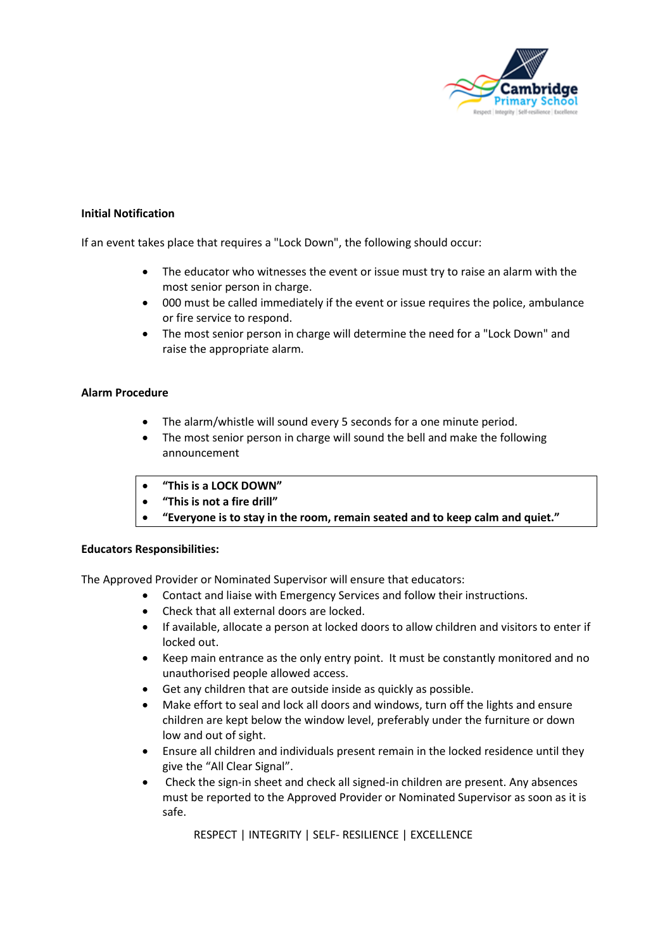

#### **Initial Notification**

If an event takes place that requires a "Lock Down", the following should occur:

- The educator who witnesses the event or issue must try to raise an alarm with the most senior person in charge.
- 000 must be called immediately if the event or issue requires the police, ambulance or fire service to respond.
- The most senior person in charge will determine the need for a "Lock Down" and raise the appropriate alarm.

#### **Alarm Procedure**

- The alarm/whistle will sound every 5 seconds for a one minute period.
- The most senior person in charge will sound the bell and make the following announcement
- **"This is a LOCK DOWN"**
- **"This is not a fire drill"**
- **"Everyone is to stay in the room, remain seated and to keep calm and quiet."**

#### **Educators Responsibilities:**

The Approved Provider or Nominated Supervisor will ensure that educators:

- Contact and liaise with Emergency Services and follow their instructions.
- Check that all external doors are locked.
- If available, allocate a person at locked doors to allow children and visitors to enter if locked out.
- Keep main entrance as the only entry point. It must be constantly monitored and no unauthorised people allowed access.
- Get any children that are outside inside as quickly as possible.
- Make effort to seal and lock all doors and windows, turn off the lights and ensure children are kept below the window level, preferably under the furniture or down low and out of sight.
- Ensure all children and individuals present remain in the locked residence until they give the "All Clear Signal".
- Check the sign-in sheet and check all signed-in children are present. Any absences must be reported to the Approved Provider or Nominated Supervisor as soon as it is safe.

RESPECT | INTEGRITY | SELF- RESILIENCE | EXCELLENCE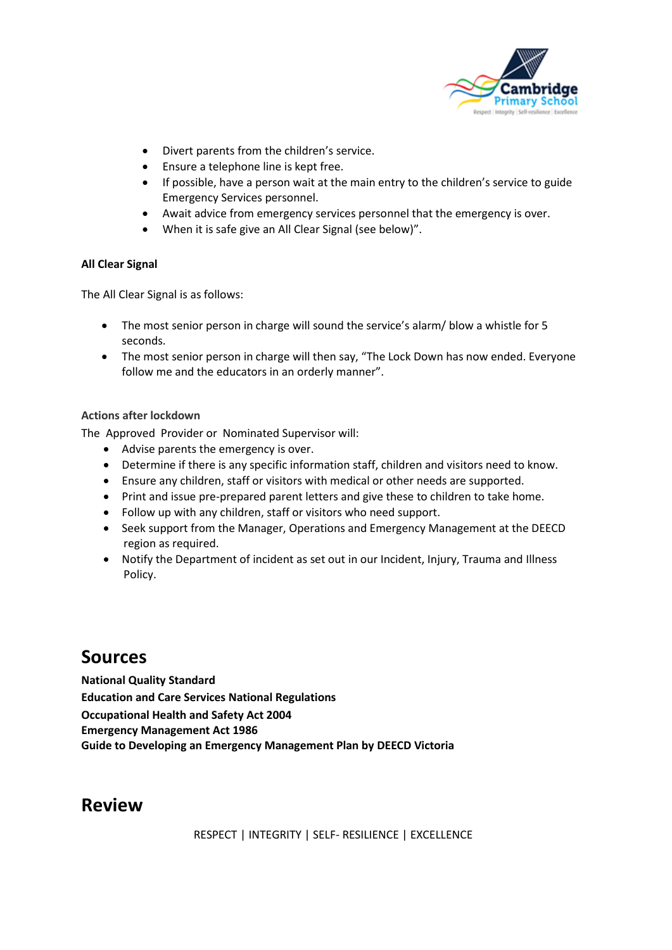

- Divert parents from the children's service.
- Ensure a telephone line is kept free.
- If possible, have a person wait at the main entry to the children's service to guide Emergency Services personnel.
- Await advice from emergency services personnel that the emergency is over.
- When it is safe give an All Clear Signal (see below)".

#### **All Clear Signal**

The All Clear Signal is as follows:

- The most senior person in charge will sound the service's alarm/ blow a whistle for 5 seconds.
- The most senior person in charge will then say, "The Lock Down has now ended. Everyone follow me and the educators in an orderly manner".

#### **Actions after lockdown**

The Approved Provider or Nominated Supervisor will:

- Advise parents the emergency is over.
- Determine if there is any specific information staff, children and visitors need to know.
- Ensure any children, staff or visitors with medical or other needs are supported.
- Print and issue pre-prepared parent letters and give these to children to take home.
- Follow up with any children, staff or visitors who need support.
- Seek support from the Manager, Operations and Emergency Management at the DEECD region as required.
- Notify the Department of incident as set out in our Incident, Injury, Trauma and Illness Policy.

### **Sources**

**National Quality Standard Education and Care Services National Regulations Occupational Health and Safety Act 2004 Emergency Management Act 1986 Guide to Developing an Emergency Management Plan by DEECD Victoria** 

### **Review**

RESPECT | INTEGRITY | SELF- RESILIENCE | EXCELLENCE